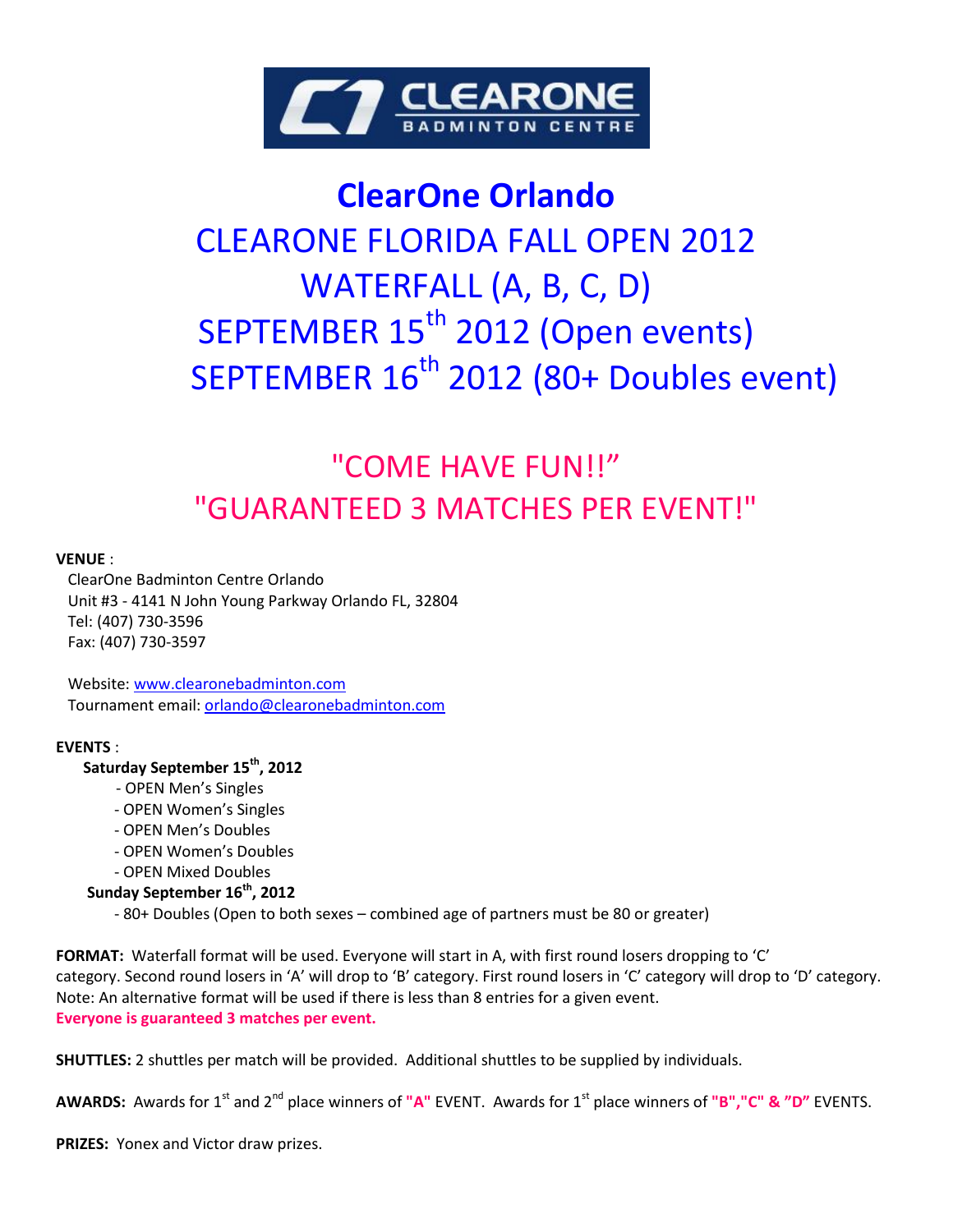

# **ClearOne Orlando** CLEARONE FLORIDA FALL OPEN 2012 WATERFALL (A, B, C, D) SEPTEMBER 15<sup>th</sup> 2012 (Open events) SEPTEMBER 16<sup>th</sup> 2012 (80+ Doubles event)

## "COME HAVE FUN!!" "GUARANTEED 3 MATCHES PER EVENT!"

#### **VENUE** :

 ClearOne Badminton Centre Orlando Unit #3 - 4141 N John Young Parkway Orlando FL, 32804 Tel: (407) 730-3596 Fax: (407) 730-3597

 Website: [www.clearonebadminton.com](http://www.clearonebadminton.com/)  Tournament email[: orlando@clearonebadminton.com](mailto:tournament@clearonebadminton.com)

#### **EVENTS** :

#### **Saturday September 15th, 2012**

- OPEN Men's Singles
- OPEN Women's Singles
- OPEN Men's Doubles
- OPEN Women's Doubles
- OPEN Mixed Doubles

#### **Sunday September 16th, 2012**

- 80+ Doubles (Open to both sexes – combined age of partners must be 80 or greater)

**FORMAT:** Waterfall format will be used. Everyone will start in A, with first round losers dropping to 'C' category. Second round losers in 'A' will drop to 'B' category. First round losers in 'C' category will drop to 'D' category. Note: An alternative format will be used if there is less than 8 entries for a given event. **Everyone is guaranteed 3 matches per event.**

**SHUTTLES:** 2 shuttles per match will be provided. Additional shuttles to be supplied by individuals.

**AWARDS:** Awards for 1st and 2nd place winners of **"A"** EVENT. Awards for 1st place winners of **"B","C" & "D"** EVENTS.

**PRIZES:** Yonex and Victor draw prizes.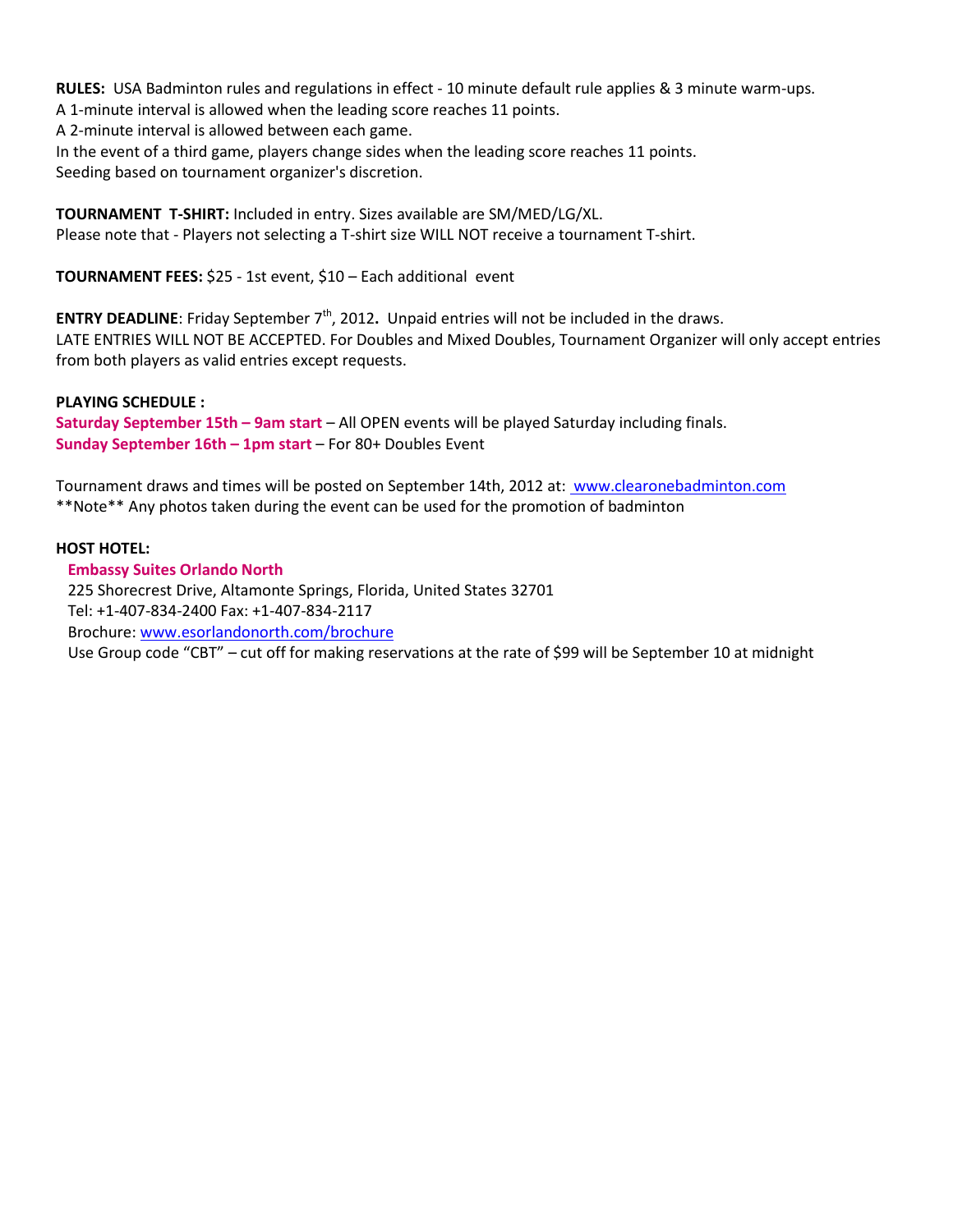**RULES:** USA Badminton rules and regulations in effect - 10 minute default rule applies & 3 minute warm-ups.

A 1-minute interval is allowed when the leading score reaches 11 points.

A 2-minute interval is allowed between each game.

In the event of a third game, players change sides when the leading score reaches 11 points. Seeding based on tournament organizer's discretion.

**TOURNAMENT T-SHIRT:** Included in entry. Sizes available are SM/MED/LG/XL. Please note that - Players not selecting a T-shirt size WILL NOT receive a tournament T-shirt.

**TOURNAMENT FEES:** \$25 - 1st event, \$10 – Each additional event

**ENTRY DEADLINE:** Friday September 7<sup>th</sup>, 2012. Unpaid entries will not be included in the draws. LATE ENTRIES WILL NOT BE ACCEPTED. For Doubles and Mixed Doubles, Tournament Organizer will only accept entries from both players as valid entries except requests.

#### **PLAYING SCHEDULE :**

**Saturday September 15th – 9am start** – All OPEN events will be played Saturday including finals. **Sunday September 16th – 1pm start** – For 80+ Doubles Event

Tournament draws and times will be posted on September 14th, 2012 at: [www.clearonebadminton.com](file:///C:/Users/Rob/AppData/Local/Microsoft/Windows/AppData/Local/Microsoft/Windows/Temporary%20Internet%20Files/Content.Outlook/AppData/Local/Microsoft/Windows/AppData/Local/Microsoft/Windows/Temporary%20Internet%20Files/Content.Outlook/05F3KFNA/%20www.clearonebadminton.com) \*\*Note\*\* Any photos taken during the event can be used for the promotion of badminton

#### **HOST HOTEL:**

 **Embassy Suites Orlando North**

 225 Shorecrest Drive, Altamonte Springs, Florida, United States 32701 Tel: +1-407-834-2400 Fax: +1-407-834-2117 Brochure: [www.esorlandonorth.com/brochure](http://www.esorlandonorth.com/brochure) Use Group code "CBT" – cut off for making reservations at the rate of \$99 will be September 10 at midnight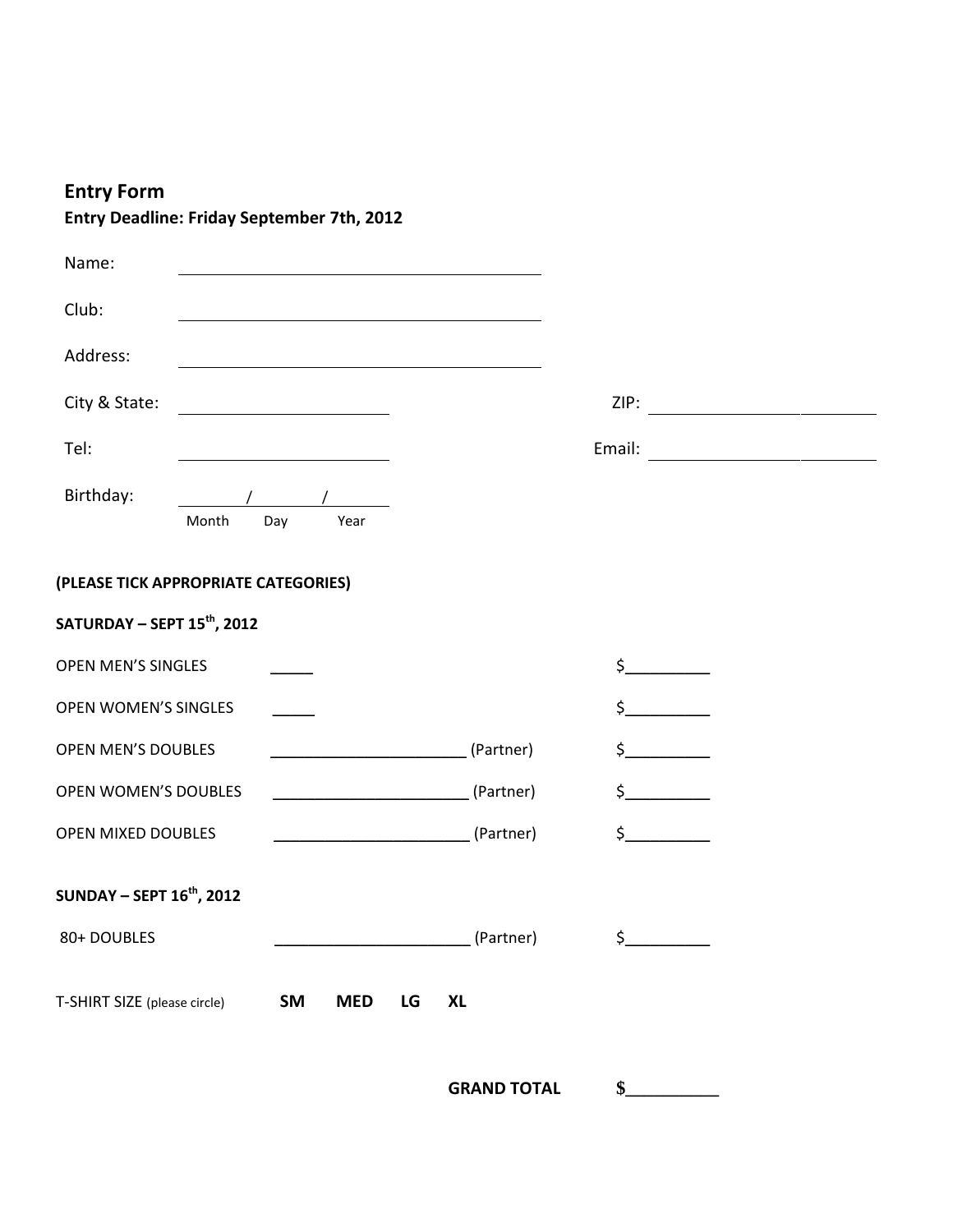### **Entry Form**

| Name:                                   |       |                         |                                                                                                                                                                                     |           |                    |  |  |
|-----------------------------------------|-------|-------------------------|-------------------------------------------------------------------------------------------------------------------------------------------------------------------------------------|-----------|--------------------|--|--|
| Club:                                   |       |                         |                                                                                                                                                                                     |           |                    |  |  |
| Address:                                |       |                         |                                                                                                                                                                                     |           |                    |  |  |
| City & State:                           |       |                         |                                                                                                                                                                                     |           |                    |  |  |
| Tel:                                    |       |                         |                                                                                                                                                                                     |           | Email:             |  |  |
| Birthday:                               | Month | Day<br>Year             |                                                                                                                                                                                     |           |                    |  |  |
| (PLEASE TICK APPROPRIATE CATEGORIES)    |       |                         |                                                                                                                                                                                     |           |                    |  |  |
| SATURDAY - SEPT 15 <sup>th</sup> , 2012 |       |                         |                                                                                                                                                                                     |           |                    |  |  |
| <b>OPEN MEN'S SINGLES</b>               |       |                         |                                                                                                                                                                                     |           | $\mathsf{S}$       |  |  |
| <b>OPEN WOMEN'S SINGLES</b>             |       |                         |                                                                                                                                                                                     |           | $\mathsf{\dot{S}}$ |  |  |
| OPEN MEN'S DOUBLES                      |       |                         | <u> 1990 - Jan James Barnett, politik e</u> ta idazlea (h. 1900).<br>1900 - Johann Barnett, politik eta idazlea (h. 1900).<br>1900 - Johann Barnett, politik eta idazlea (h. 1900). | (Partner) | $\mathsf{\dot{S}}$ |  |  |
| <b>OPEN WOMEN'S DOUBLES</b>             |       |                         |                                                                                                                                                                                     | (Partner) | $\sharp$           |  |  |
| OPEN MIXED DOUBLES                      |       |                         | (Partner)                                                                                                                                                                           |           | $\sharp$ $\sharp$  |  |  |
| <b>SUNDAY - SEPT 16th, 2012</b>         |       |                         |                                                                                                                                                                                     |           |                    |  |  |
| 80+ DOUBLES                             |       |                         |                                                                                                                                                                                     | (Partner) | $\sharp$           |  |  |
| T-SHIRT SIZE (please circle)            |       | <b>SM</b><br><b>MED</b> | <b>XL</b><br>LG                                                                                                                                                                     |           |                    |  |  |

**Entry Deadline: Friday September 7th, 2012**

**GRAND TOTAL \$\_\_\_\_\_\_\_\_\_\_**